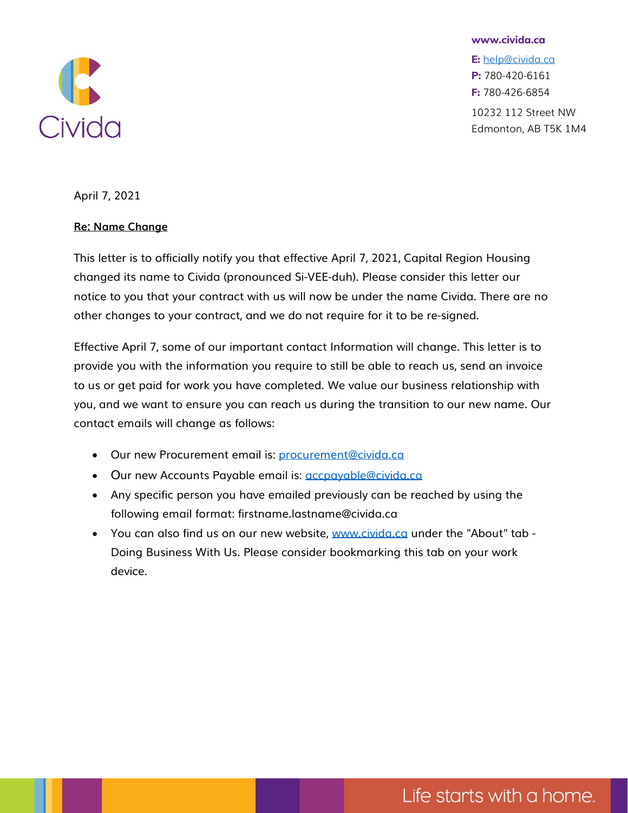

**www.civida.ca**

**E:** [help@civida.ca](mailto:help@civida.ca) **P:** 780-420-6161 **F:** 780-426-6854 10232 112 Street NW Edmonton, AB T5K 1M4

April 7, 2021

## **Re: Name Change**

This letter is to officially notify you that effective April 7, 2021, Capital Region Housing changed its name to Civida (pronounced Si-VEE-duh). Please consider this letter our notice to you that your contract with us will now be under the name Civid[a. There are no](mailto:greg.dewling@civida.ca)  other changes to your contract, and we do not require for it to be re-signe[d.](mailto:greg.dewling@civida.ca) 

Effective April 7, some of our important contact Information will change. T[his letter is to](mailto:greg.dewling@civida.ca)  provide you with the information you require to still be able to reach us, s[end an invoice](mailto:greg.dewling@civida.ca)  to us or get paid for work you have completed. We value our business rel[ationship with](mailto:greg.dewling@civida.ca)  you, and we want to ensure you can reach us during the transition to our [new name. Our](mailto:greg.dewling@civida.ca)  contact emails will change as follows:

- Our new Procurement email is: [procurement@civida.ca](mailto:procurement@civida.ca)
- Our new Accounts Payable email is: *accpayable@civida.ca*
- Any specific person you have emailed previously can be reached b[y using the](mailto:greg.dewling@civida.ca)  following email format: firstname.lastname@civida.ca
- You can also find us on our new website, [www.civida.ca](https://civida.ca/) under the ["About" tab -](mailto:greg.dewling@civida.ca) Doing Business With Us. Please consider bookmarking this tab on your work device.